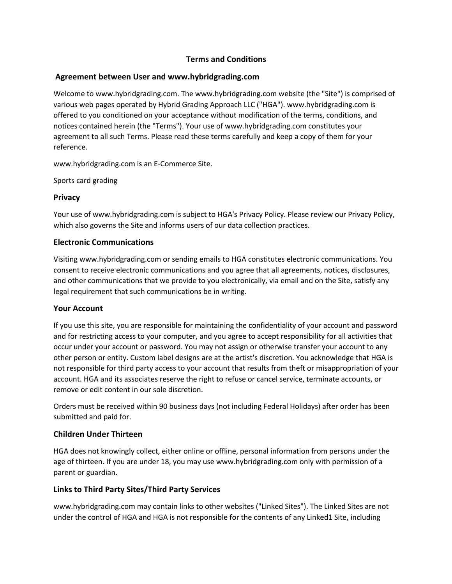## **Terms and Conditions**

## **Agreement between User and www.hybridgrading.com**

Welcome to www.hybridgrading.com. The www.hybridgrading.com website (the "Site") is comprised of various web pages operated by Hybrid Grading Approach LLC ("HGA"). www.hybridgrading.com is offered to you conditioned on your acceptance without modification of the terms, conditions, and notices contained herein (the "Terms"). Your use of www.hybridgrading.com constitutes your agreement to all such Terms. Please read these terms carefully and keep a copy of them for your reference.

www.hybridgrading.com is an E-Commerce Site.

Sports card grading

### **Privacy**

Your use of www.hybridgrading.com is subject to HGA's Privacy Policy. Please review our Privacy Policy, which also governs the Site and informs users of our data collection practices.

### **Electronic Communications**

Visiting www.hybridgrading.com or sending emails to HGA constitutes electronic communications. You consent to receive electronic communications and you agree that all agreements, notices, disclosures, and other communications that we provide to you electronically, via email and on the Site, satisfy any legal requirement that such communications be in writing.

## **Your Account**

If you use this site, you are responsible for maintaining the confidentiality of your account and password and for restricting access to your computer, and you agree to accept responsibility for all activities that occur under your account or password. You may not assign or otherwise transfer your account to any other person or entity. Custom label designs are at the artist's discretion. You acknowledge that HGA is not responsible for third party access to your account that results from theft or misappropriation of your account. HGA and its associates reserve the right to refuse or cancel service, terminate accounts, or remove or edit content in our sole discretion.

Orders must be received within 90 business days (not including Federal Holidays) after order has been submitted and paid for.

## **Children Under Thirteen**

HGA does not knowingly collect, either online or offline, personal information from persons under the age of thirteen. If you are under 18, you may use www.hybridgrading.com only with permission of a parent or guardian.

## **Links to Third Party Sites/Third Party Services**

www.hybridgrading.com may contain links to other websites ("Linked Sites"). The Linked Sites are not under the control of HGA and HGA is not responsible for the contents of any Linked1 Site, including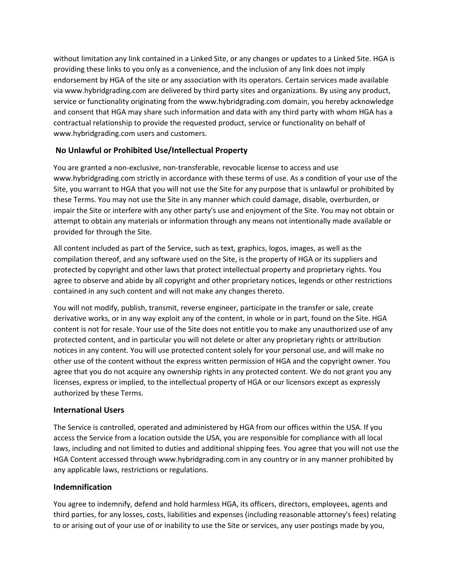without limitation any link contained in a Linked Site, or any changes or updates to a Linked Site. HGA is providing these links to you only as a convenience, and the inclusion of any link does not imply endorsement by HGA of the site or any association with its operators. Certain services made available via www.hybridgrading.com are delivered by third party sites and organizations. By using any product, service or functionality originating from the www.hybridgrading.com domain, you hereby acknowledge and consent that HGA may share such information and data with any third party with whom HGA has a contractual relationship to provide the requested product, service or functionality on behalf of www.hybridgrading.com users and customers.

# **No Unlawful or Prohibited Use/Intellectual Property**

You are granted a non-exclusive, non-transferable, revocable license to access and use www.hybridgrading.com strictly in accordance with these terms of use. As a condition of your use of the Site, you warrant to HGA that you will not use the Site for any purpose that is unlawful or prohibited by these Terms. You may not use the Site in any manner which could damage, disable, overburden, or impair the Site or interfere with any other party's use and enjoyment of the Site. You may not obtain or attempt to obtain any materials or information through any means not intentionally made available or provided for through the Site.

All content included as part of the Service, such as text, graphics, logos, images, as well as the compilation thereof, and any software used on the Site, is the property of HGA or its suppliers and protected by copyright and other laws that protect intellectual property and proprietary rights. You agree to observe and abide by all copyright and other proprietary notices, legends or other restrictions contained in any such content and will not make any changes thereto.

You will not modify, publish, transmit, reverse engineer, participate in the transfer or sale, create derivative works, or in any way exploit any of the content, in whole or in part, found on the Site. HGA content is not for resale. Your use of the Site does not entitle you to make any unauthorized use of any protected content, and in particular you will not delete or alter any proprietary rights or attribution notices in any content. You will use protected content solely for your personal use, and will make no other use of the content without the express written permission of HGA and the copyright owner. You agree that you do not acquire any ownership rights in any protected content. We do not grant you any licenses, express or implied, to the intellectual property of HGA or our licensors except as expressly authorized by these Terms.

## **International Users**

The Service is controlled, operated and administered by HGA from our offices within the USA. If you access the Service from a location outside the USA, you are responsible for compliance with all local laws, including and not limited to duties and additional shipping fees. You agree that you will not use the HGA Content accessed through www.hybridgrading.com in any country or in any manner prohibited by any applicable laws, restrictions or regulations.

#### **Indemnification**

You agree to indemnify, defend and hold harmless HGA, its officers, directors, employees, agents and third parties, for any losses, costs, liabilities and expenses (including reasonable attorney's fees) relating to or arising out of your use of or inability to use the Site or services, any user postings made by you,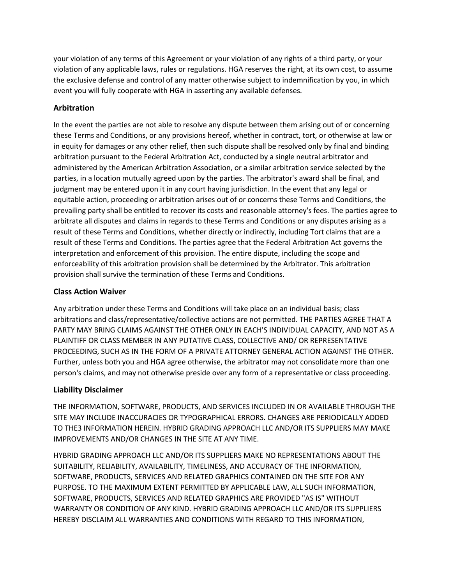your violation of any terms of this Agreement or your violation of any rights of a third party, or your violation of any applicable laws, rules or regulations. HGA reserves the right, at its own cost, to assume the exclusive defense and control of any matter otherwise subject to indemnification by you, in which event you will fully cooperate with HGA in asserting any available defenses.

# **Arbitration**

In the event the parties are not able to resolve any dispute between them arising out of or concerning these Terms and Conditions, or any provisions hereof, whether in contract, tort, or otherwise at law or in equity for damages or any other relief, then such dispute shall be resolved only by final and binding arbitration pursuant to the Federal Arbitration Act, conducted by a single neutral arbitrator and administered by the American Arbitration Association, or a similar arbitration service selected by the parties, in a location mutually agreed upon by the parties. The arbitrator's award shall be final, and judgment may be entered upon it in any court having jurisdiction. In the event that any legal or equitable action, proceeding or arbitration arises out of or concerns these Terms and Conditions, the prevailing party shall be entitled to recover its costs and reasonable attorney's fees. The parties agree to arbitrate all disputes and claims in regards to these Terms and Conditions or any disputes arising as a result of these Terms and Conditions, whether directly or indirectly, including Tort claims that are a result of these Terms and Conditions. The parties agree that the Federal Arbitration Act governs the interpretation and enforcement of this provision. The entire dispute, including the scope and enforceability of this arbitration provision shall be determined by the Arbitrator. This arbitration provision shall survive the termination of these Terms and Conditions.

## **Class Action Waiver**

Any arbitration under these Terms and Conditions will take place on an individual basis; class arbitrations and class/representative/collective actions are not permitted. THE PARTIES AGREE THAT A PARTY MAY BRING CLAIMS AGAINST THE OTHER ONLY IN EACH'S INDIVIDUAL CAPACITY, AND NOT AS A PLAINTIFF OR CLASS MEMBER IN ANY PUTATIVE CLASS, COLLECTIVE AND/ OR REPRESENTATIVE PROCEEDING, SUCH AS IN THE FORM OF A PRIVATE ATTORNEY GENERAL ACTION AGAINST THE OTHER. Further, unless both you and HGA agree otherwise, the arbitrator may not consolidate more than one person's claims, and may not otherwise preside over any form of a representative or class proceeding.

## **Liability Disclaimer**

THE INFORMATION, SOFTWARE, PRODUCTS, AND SERVICES INCLUDED IN OR AVAILABLE THROUGH THE SITE MAY INCLUDE INACCURACIES OR TYPOGRAPHICAL ERRORS. CHANGES ARE PERIODICALLY ADDED TO THE3 INFORMATION HEREIN. HYBRID GRADING APPROACH LLC AND/OR ITS SUPPLIERS MAY MAKE IMPROVEMENTS AND/OR CHANGES IN THE SITE AT ANY TIME.

HYBRID GRADING APPROACH LLC AND/OR ITS SUPPLIERS MAKE NO REPRESENTATIONS ABOUT THE SUITABILITY, RELIABILITY, AVAILABILITY, TIMELINESS, AND ACCURACY OF THE INFORMATION, SOFTWARE, PRODUCTS, SERVICES AND RELATED GRAPHICS CONTAINED ON THE SITE FOR ANY PURPOSE. TO THE MAXIMUM EXTENT PERMITTED BY APPLICABLE LAW, ALL SUCH INFORMATION, SOFTWARE, PRODUCTS, SERVICES AND RELATED GRAPHICS ARE PROVIDED "AS IS" WITHOUT WARRANTY OR CONDITION OF ANY KIND. HYBRID GRADING APPROACH LLC AND/OR ITS SUPPLIERS HEREBY DISCLAIM ALL WARRANTIES AND CONDITIONS WITH REGARD TO THIS INFORMATION,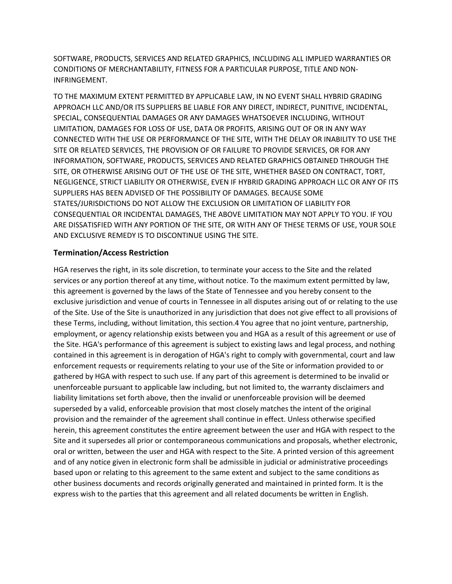SOFTWARE, PRODUCTS, SERVICES AND RELATED GRAPHICS, INCLUDING ALL IMPLIED WARRANTIES OR CONDITIONS OF MERCHANTABILITY, FITNESS FOR A PARTICULAR PURPOSE, TITLE AND NON-INFRINGEMENT.

TO THE MAXIMUM EXTENT PERMITTED BY APPLICABLE LAW, IN NO EVENT SHALL HYBRID GRADING APPROACH LLC AND/OR ITS SUPPLIERS BE LIABLE FOR ANY DIRECT, INDIRECT, PUNITIVE, INCIDENTAL, SPECIAL, CONSEQUENTIAL DAMAGES OR ANY DAMAGES WHATSOEVER INCLUDING, WITHOUT LIMITATION, DAMAGES FOR LOSS OF USE, DATA OR PROFITS, ARISING OUT OF OR IN ANY WAY CONNECTED WITH THE USE OR PERFORMANCE OF THE SITE, WITH THE DELAY OR INABILITY TO USE THE SITE OR RELATED SERVICES, THE PROVISION OF OR FAILURE TO PROVIDE SERVICES, OR FOR ANY INFORMATION, SOFTWARE, PRODUCTS, SERVICES AND RELATED GRAPHICS OBTAINED THROUGH THE SITE, OR OTHERWISE ARISING OUT OF THE USE OF THE SITE, WHETHER BASED ON CONTRACT, TORT, NEGLIGENCE, STRICT LIABILITY OR OTHERWISE, EVEN IF HYBRID GRADING APPROACH LLC OR ANY OF ITS SUPPLIERS HAS BEEN ADVISED OF THE POSSIBILITY OF DAMAGES. BECAUSE SOME STATES/JURISDICTIONS DO NOT ALLOW THE EXCLUSION OR LIMITATION OF LIABILITY FOR CONSEQUENTIAL OR INCIDENTAL DAMAGES, THE ABOVE LIMITATION MAY NOT APPLY TO YOU. IF YOU ARE DISSATISFIED WITH ANY PORTION OF THE SITE, OR WITH ANY OF THESE TERMS OF USE, YOUR SOLE AND EXCLUSIVE REMEDY IS TO DISCONTINUE USING THE SITE.

### **Termination/Access Restriction**

HGA reserves the right, in its sole discretion, to terminate your access to the Site and the related services or any portion thereof at any time, without notice. To the maximum extent permitted by law, this agreement is governed by the laws of the State of Tennessee and you hereby consent to the exclusive jurisdiction and venue of courts in Tennessee in all disputes arising out of or relating to the use of the Site. Use of the Site is unauthorized in any jurisdiction that does not give effect to all provisions of these Terms, including, without limitation, this section.4 You agree that no joint venture, partnership, employment, or agency relationship exists between you and HGA as a result of this agreement or use of the Site. HGA's performance of this agreement is subject to existing laws and legal process, and nothing contained in this agreement is in derogation of HGA's right to comply with governmental, court and law enforcement requests or requirements relating to your use of the Site or information provided to or gathered by HGA with respect to such use. If any part of this agreement is determined to be invalid or unenforceable pursuant to applicable law including, but not limited to, the warranty disclaimers and liability limitations set forth above, then the invalid or unenforceable provision will be deemed superseded by a valid, enforceable provision that most closely matches the intent of the original provision and the remainder of the agreement shall continue in effect. Unless otherwise specified herein, this agreement constitutes the entire agreement between the user and HGA with respect to the Site and it supersedes all prior or contemporaneous communications and proposals, whether electronic, oral or written, between the user and HGA with respect to the Site. A printed version of this agreement and of any notice given in electronic form shall be admissible in judicial or administrative proceedings based upon or relating to this agreement to the same extent and subject to the same conditions as other business documents and records originally generated and maintained in printed form. It is the express wish to the parties that this agreement and all related documents be written in English.